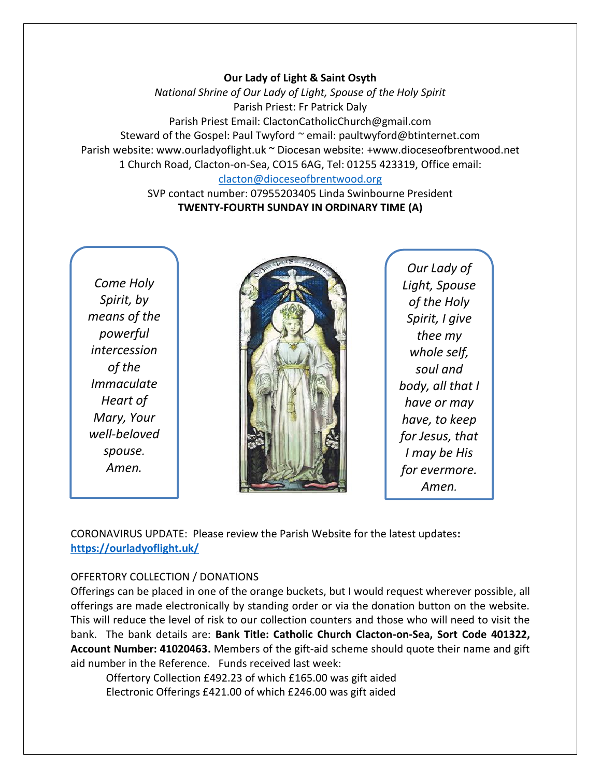#### **Our Lady of Light & Saint Osyth**

*National Shrine of Our Lady of Light, Spouse of the Holy Spirit* Parish Priest: Fr Patrick Daly Parish Priest Email: ClactonCatholicChurch@gmail.com Steward of the Gospel: Paul Twyford ~ email: paultwyford@btinternet.com Parish website: www.ourladyoflight.uk ~ Diocesan website: +www.dioceseofbrentwood.net 1 Church Road, Clacton-on-Sea, CO15 6AG, Tel: 01255 423319, Office email: [clacton@dioceseofbrentwood.org](mailto:clacton@dioceseofbrentwood.org)

> SVP contact number: 07955203405 Linda Swinbourne President **TWENTY-FOURTH SUNDAY IN ORDINARY TIME (A)**

*Come Holy Spirit, by means of the powerful intercession of the Immaculate Heart of Mary, Your well-beloved spouse. Amen.*



*Our Lady of Light, Spouse of the Holy Spirit, I give thee my whole self, soul and body, all that I have or may have, to keep for Jesus, that I may be His for evermore. Amen.*

CORONAVIRUS UPDATE: Please review the Parish Website for the latest updates**: <https://ourladyoflight.uk/>**

### OFFERTORY COLLECTION / DONATIONS

Offerings can be placed in one of the orange buckets, but I would request wherever possible, all offerings are made electronically by standing order or via the donation button on the website. This will reduce the level of risk to our collection counters and those who will need to visit the bank. The bank details are: **Bank Title: Catholic Church Clacton-on-Sea, Sort Code 401322, Account Number: 41020463.** Members of the gift-aid scheme should quote their name and gift aid number in the Reference. Funds received last week:

Offertory Collection £492.23 of which £165.00 was gift aided Electronic Offerings £421.00 of which £246.00 was gift aided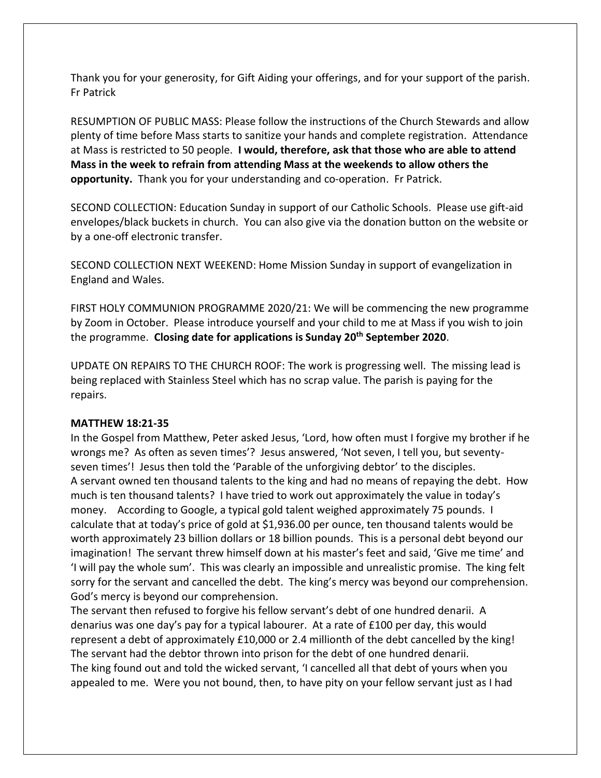Thank you for your generosity, for Gift Aiding your offerings, and for your support of the parish. Fr Patrick

RESUMPTION OF PUBLIC MASS: Please follow the instructions of the Church Stewards and allow plenty of time before Mass starts to sanitize your hands and complete registration. Attendance at Mass is restricted to 50 people. **I would, therefore, ask that those who are able to attend Mass in the week to refrain from attending Mass at the weekends to allow others the opportunity.** Thank you for your understanding and co-operation. Fr Patrick.

SECOND COLLECTION: Education Sunday in support of our Catholic Schools. Please use gift-aid envelopes/black buckets in church. You can also give via the donation button on the website or by a one-off electronic transfer.

SECOND COLLECTION NEXT WEEKEND: Home Mission Sunday in support of evangelization in England and Wales.

FIRST HOLY COMMUNION PROGRAMME 2020/21: We will be commencing the new programme by Zoom in October. Please introduce yourself and your child to me at Mass if you wish to join the programme. **Closing date for applications is Sunday 20th September 2020**.

UPDATE ON REPAIRS TO THE CHURCH ROOF: The work is progressing well. The missing lead is being replaced with Stainless Steel which has no scrap value. The parish is paying for the repairs.

#### **MATTHEW 18:21-35**

In the Gospel from Matthew, Peter asked Jesus, 'Lord, how often must I forgive my brother if he wrongs me? As often as seven times'? Jesus answered, 'Not seven, I tell you, but seventyseven times'! Jesus then told the 'Parable of the unforgiving debtor' to the disciples. A servant owned ten thousand talents to the king and had no means of repaying the debt. How much is ten thousand talents? I have tried to work out approximately the value in today's money. According to Google, a typical gold talent weighed approximately 75 pounds. I calculate that at today's price of gold at \$1,936.00 per ounce, ten thousand talents would be worth approximately 23 billion dollars or 18 billion pounds. This is a personal debt beyond our imagination! The servant threw himself down at his master's feet and said, 'Give me time' and 'I will pay the whole sum'. This was clearly an impossible and unrealistic promise. The king felt sorry for the servant and cancelled the debt. The king's mercy was beyond our comprehension. God's mercy is beyond our comprehension.

The servant then refused to forgive his fellow servant's debt of one hundred denarii. A denarius was one day's pay for a typical labourer. At a rate of £100 per day, this would represent a debt of approximately £10,000 or 2.4 millionth of the debt cancelled by the king! The servant had the debtor thrown into prison for the debt of one hundred denarii. The king found out and told the wicked servant, 'I cancelled all that debt of yours when you appealed to me. Were you not bound, then, to have pity on your fellow servant just as I had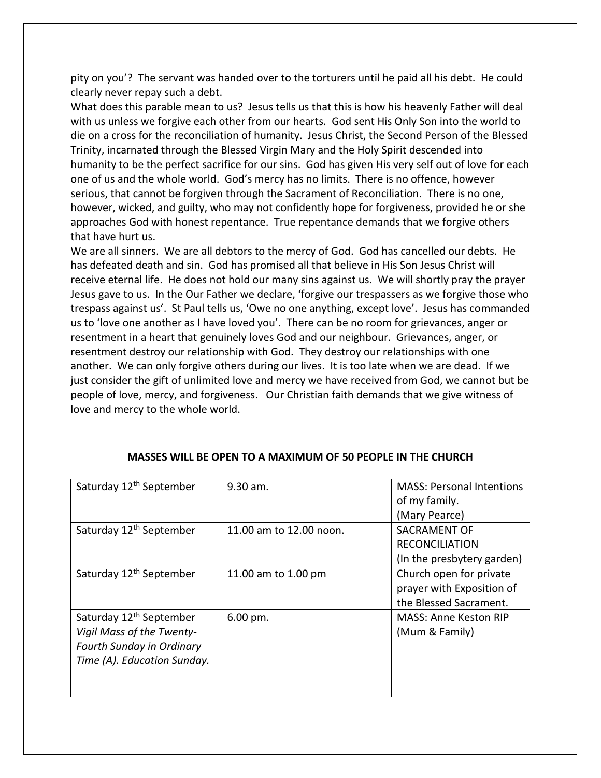pity on you'? The servant was handed over to the torturers until he paid all his debt. He could clearly never repay such a debt.

What does this parable mean to us? Jesus tells us that this is how his heavenly Father will deal with us unless we forgive each other from our hearts. God sent His Only Son into the world to die on a cross for the reconciliation of humanity. Jesus Christ, the Second Person of the Blessed Trinity, incarnated through the Blessed Virgin Mary and the Holy Spirit descended into humanity to be the perfect sacrifice for our sins. God has given His very self out of love for each one of us and the whole world. God's mercy has no limits. There is no offence, however serious, that cannot be forgiven through the Sacrament of Reconciliation. There is no one, however, wicked, and guilty, who may not confidently hope for forgiveness, provided he or she approaches God with honest repentance. True repentance demands that we forgive others that have hurt us.

We are all sinners. We are all debtors to the mercy of God. God has cancelled our debts. He has defeated death and sin. God has promised all that believe in His Son Jesus Christ will receive eternal life. He does not hold our many sins against us. We will shortly pray the prayer Jesus gave to us. In the Our Father we declare, 'forgive our trespassers as we forgive those who trespass against us'. St Paul tells us, 'Owe no one anything, except love'. Jesus has commanded us to 'love one another as I have loved you'. There can be no room for grievances, anger or resentment in a heart that genuinely loves God and our neighbour. Grievances, anger, or resentment destroy our relationship with God. They destroy our relationships with one another. We can only forgive others during our lives. It is too late when we are dead. If we just consider the gift of unlimited love and mercy we have received from God, we cannot but be people of love, mercy, and forgiveness. Our Christian faith demands that we give witness of love and mercy to the whole world.

| Saturday 12 <sup>th</sup> September | $9.30$ am.              | <b>MASS: Personal Intentions</b><br>of my family. |
|-------------------------------------|-------------------------|---------------------------------------------------|
|                                     |                         | (Mary Pearce)                                     |
| Saturday 12 <sup>th</sup> September | 11.00 am to 12.00 noon. | SACRAMENT OF                                      |
|                                     |                         | <b>RECONCILIATION</b>                             |
|                                     |                         | (In the presbytery garden)                        |
| Saturday 12 <sup>th</sup> September | 11.00 am to 1.00 pm     | Church open for private                           |
|                                     |                         | prayer with Exposition of                         |
|                                     |                         | the Blessed Sacrament.                            |
| Saturday 12 <sup>th</sup> September | 6.00 pm.                | <b>MASS: Anne Keston RIP</b>                      |
| Vigil Mass of the Twenty-           |                         | (Mum & Family)                                    |
| Fourth Sunday in Ordinary           |                         |                                                   |
| Time (A). Education Sunday.         |                         |                                                   |
|                                     |                         |                                                   |
|                                     |                         |                                                   |

## **MASSES WILL BE OPEN TO A MAXIMUM OF 50 PEOPLE IN THE CHURCH**